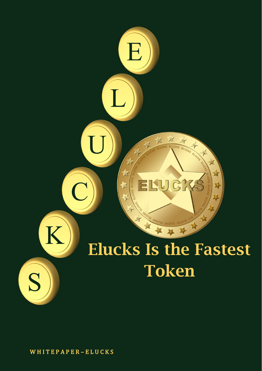

W H I T E P A P E R – E L U C K S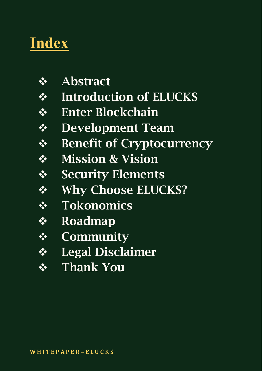#### **Index**

- ❖ Abstract
- ❖ Introduction of ELUCKS
- ❖ Enter Blockchain
- ❖ Development Team
- ❖ Benefit of Cryptocurrency
- ❖ Mission & Vision
- ❖ Security Elements
- ❖ Why Choose ELUCKS?
- ❖ Tokonomics
- ❖ Roadmap
- ❖ Community
- ❖ Legal Disclaimer
- ❖ Thank You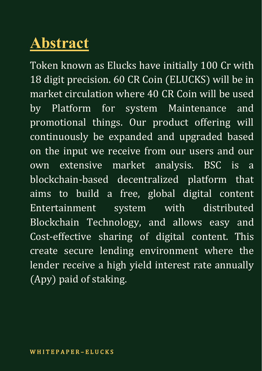#### **Abstract**

Token known as Elucks have initially 100 Cr with 18 digit precision. 60 CR Coin (ELUCKS) will be in market circulation where 40 CR Coin will be used by Platform for system Maintenance and promotional things. Our product offering will continuously be expanded and upgraded based on the input we receive from our users and our own extensive market analysis. BSC is a blockchain-based decentralized platform that aims to build a free, global digital content Entertainment system with distributed Blockchain Technology, and allows easy and Cost-effective sharing of digital content. This create secure lending environment where the lender receive a high yield interest rate annually (Apy) paid of staking.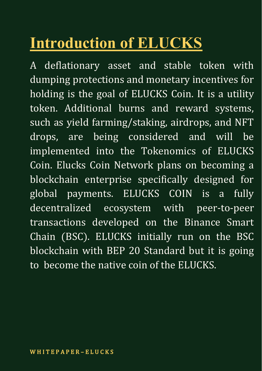### **Introduction of ELUCKS**

A deflationary asset and stable token with dumping protections and monetary incentives for holding is the goal of ELUCKS Coin. It is a utility token. Additional burns and reward systems, such as yield farming/staking, airdrops, and NFT drops, are being considered and will be implemented into the Tokenomics of ELUCKS Coin. Elucks Coin Network plans on becoming a blockchain enterprise specifically designed for global payments. ELUCKS COIN is a fully decentralized ecosystem with peer-to-peer transactions developed on the Binance Smart Chain (BSC). ELUCKS initially run on the BSC blockchain with BEP 20 Standard but it is going to become the native coin of the ELUCKS.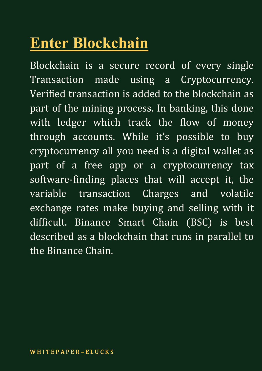#### **Enter Blockchain**

Blockchain is a secure record of every single Transaction made using a Cryptocurrency. Verified transaction is added to the blockchain as part of the mining process. In banking, this done with ledger which track the flow of money through accounts. While it's possible to buy cryptocurrency all you need is a digital wallet as part of a free app or a cryptocurrency tax software-finding places that will accept it, the variable transaction Charges and volatile exchange rates make buying and selling with it difficult. Binance Smart Chain (BSC) is best described as a blockchain that runs in parallel to the Binance Chain.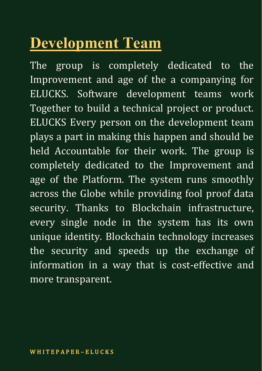#### **Development Team**

The group is completely dedicated to the Improvement and age of the a companying for ELUCKS. Software development teams work Together to build a technical project or product. ELUCKS Every person on the development team plays a part in making this happen and should be held Accountable for their work. The group is completely dedicated to the Improvement and age of the Platform. The system runs smoothly across the Globe while providing fool proof data security. Thanks to Blockchain infrastructure, every single node in the system has its own unique identity. Blockchain technology increases the security and speeds up the exchange of information in a way that is cost-effective and more transparent.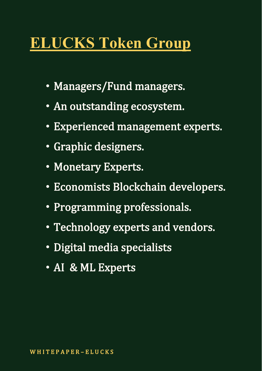#### **ELUCKS Token Group**

- Managers/Fund managers.
- An outstanding ecosystem.
- Experienced management experts.
- Graphic designers.
- Monetary Experts.
- Economists Blockchain developers.
- Programming professionals.
- Technology experts and vendors.
- Digital media specialists
- AI & ML Experts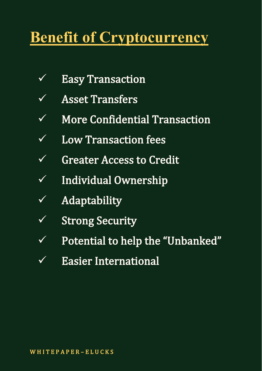#### **Benefit of Cryptocurrency**

- $\sqrt{}$  Easy Transaction
- ✓ Asset Transfers
- ✓ More Confidential Transaction
- ✓ Low Transaction fees
- ✓ Greater Access to Credit
- ✓ Individual Ownership
- $\sqrt{\phantom{a}}$  Adaptability
- $\sqrt{\phantom{a}}$  Strong Security
- ✓ Potential to help the "Unbanked"
- ✓ Easier International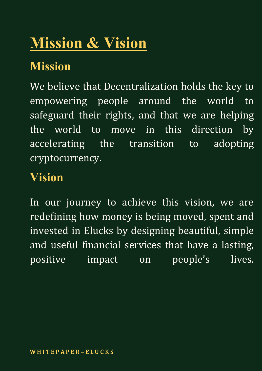### **Mission & Vision**

#### **Mission**

We believe that Decentralization holds the key to empowering people around the world to safeguard their rights, and that we are helping the world to move in this direction by accelerating the transition to adopting cryptocurrency.

#### **Vision**

In our journey to achieve this vision, we are redefining how money is being moved, spent and invested in Elucks by designing beautiful, simple and useful financial services that have a lasting, positive impact on people's lives.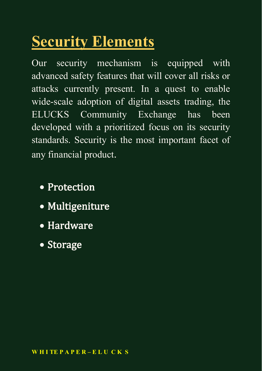### **Security Elements**

Our security mechanism is equipped with advanced safety features that will cover all risks or attacks currently present. In a quest to enable wide-scale adoption of digital assets trading, the ELUCKS Community Exchange has been developed with a prioritized focus on its security standards. Security is the most important facet of any financial product.

- Protection
- Multigeniture
- Hardware
- Storage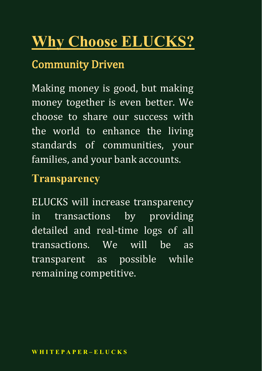# **Why Choose ELUCKS?** Community Driven

Making money is good, but making money together is even better. We choose to share our success with the world to enhance the living standards of communities, your families, and your bank accounts.

#### **Transparency**

ELUCKS will increase transparency in transactions by providing detailed and real-time logs of all transactions. We will be as transparent as possible while remaining competitive.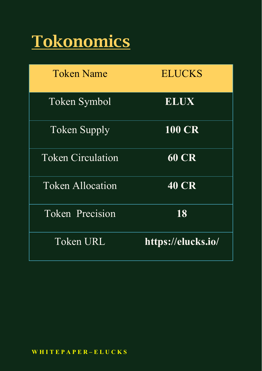### Tokonomics

| <b>Token Name</b>        | <b>ELUCKS</b>      |
|--------------------------|--------------------|
| <b>Token Symbol</b>      | <b>ELUX</b>        |
| <b>Token Supply</b>      | <b>100 CR</b>      |
| <b>Token Circulation</b> | <b>60 CR</b>       |
| <b>Token Allocation</b>  | <b>40 CR</b>       |
| <b>Token Precision</b>   | 18                 |
| Token URL                | https://elucks.io/ |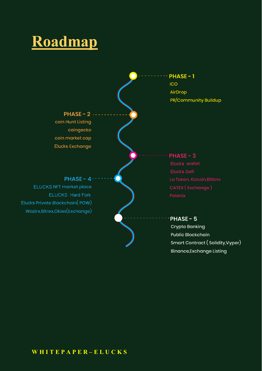#### **Roadmap**



**Binance, Exchange Listing** 

#### **W H I T E P A P E R – E L U C K S**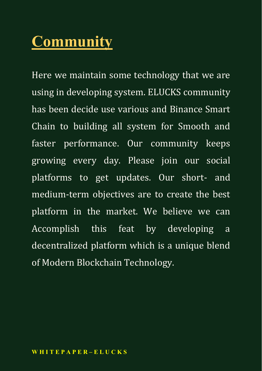#### **Community**

Here we maintain some technology that we are using in developing system. ELUCKS community has been decide use various and Binance Smart Chain to building all system for Smooth and faster performance. Our community keeps growing every day. Please join our social platforms to get updates. Our short- and medium-term objectives are to create the best platform in the market. We believe we can Accomplish this feat by developing a decentralized platform which is a unique blend of Modern Blockchain Technology.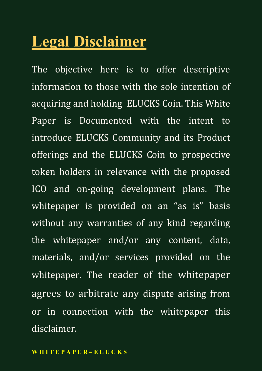#### **Legal Disclaimer**

The objective here is to offer descriptive information to those with the sole intention of acquiring and holding ELUCKS Coin. This White Paper is Documented with the intent to introduce ELUCKS Community and its Product offerings and the ELUCKS Coin to prospective token holders in relevance with the proposed ICO and on-going development plans. The whitepaper is provided on an "as is" basis without any warranties of any kind regarding the whitepaper and/or any content, data, materials, and/or services provided on the whitepaper. The reader of the whitepaper agrees to arbitrate any dispute arising from or in connection with the whitepaper this disclaimer.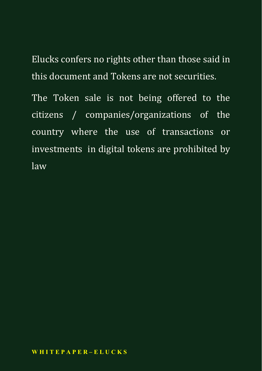Elucks confers no rights other than those said in this document and Tokens are not securities.

The Token sale is not being offered to the citizens / companies/organizations of the country where the use of transactions or investments in digital tokens are prohibited by law